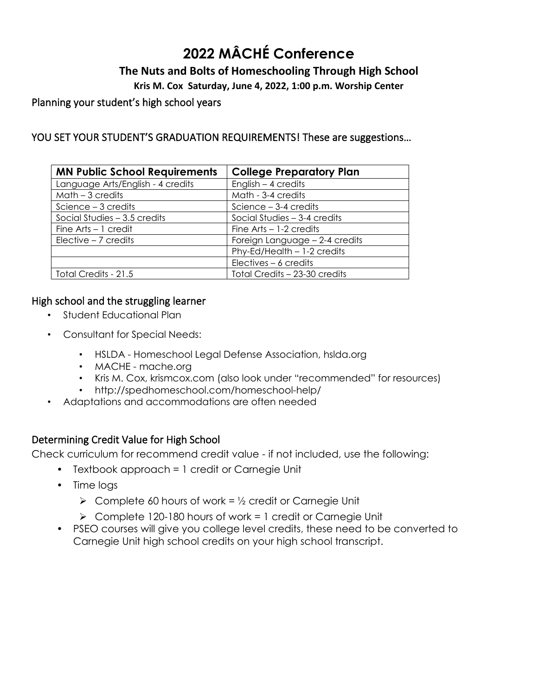# **2022 MÂCHÉ Conference**

# **The Nuts and Bolts of Homeschooling Through High School**

**Kris M. Cox Saturday, June 4, 2022, 1:00 p.m. Worship Center**

### Planning your student's high school years

# YOU SET YOUR STUDENT'S GRADUATION REQUIREMENTS! These are suggestions...

| <b>MN Public School Requirements</b> | <b>College Preparatory Plan</b> |
|--------------------------------------|---------------------------------|
| Language Arts/English - 4 credits    | English $-$ 4 credits           |
| $Math-3$ credits                     | Math - 3-4 credits              |
| Science $-3$ credits                 | Science $-3-4$ credits          |
| Social Studies $-3.5$ credits        | Social Studies - 3-4 credits    |
| Fine $Arts - 1$ credit               | Fine $Arts - 1-2$ credits       |
| $Electric - 7$ credits               | Foreign Language - 2-4 credits  |
|                                      | Phy-Ed/Health - 1-2 credits     |
|                                      | Electives $-6$ credits          |
| Total Credits - 21.5                 | Total Credits - 23-30 credits   |

### High school and the struggling learner

- Student Educational Plan
- Consultant for Special Needs:
	- HSLDA Homeschool Legal Defense Association, hslda.org
	- MACHE mache.org
	- Kris M. Cox, krismcox.com (also look under "recommended" for resources)
	- http://spedhomeschool.com/homeschool-help/
- Adaptations and accommodations are often needed

# Determining Credit Value for High School

Check curriculum for recommend credit value - if not included, use the following:

- Textbook approach = 1 credit or Carnegie Unit
- Time logs
	- $\triangleright$  Complete 60 hours of work =  $\frac{1}{2}$  credit or Carnegie Unit
	- ➢ Complete 120-180 hours of work = 1 credit or Carnegie Unit
- PSEO courses will give you college level credits, these need to be converted to Carnegie Unit high school credits on your high school transcript.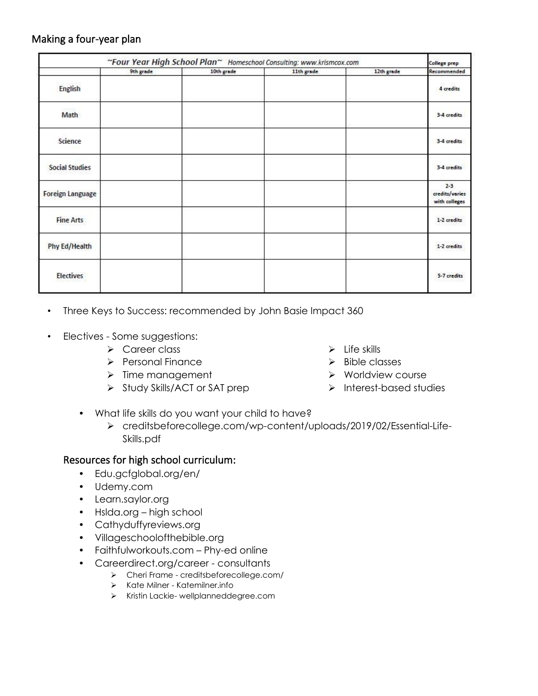### Making a four-year plan

|                         | "Four Year High School Plan" Homeschool Consulting: www.krismcox.com |            |            |            | College prep                               |
|-------------------------|----------------------------------------------------------------------|------------|------------|------------|--------------------------------------------|
|                         | 9th grade                                                            | 10th grade | 11th grade | 12th grade | Recommended                                |
| English                 |                                                                      |            |            |            | 4 credits                                  |
| Math                    |                                                                      |            |            |            | 3-4 credits                                |
| Science                 |                                                                      |            |            |            | 3-4 credits                                |
| <b>Social Studies</b>   |                                                                      |            |            |            | 3-4 credits                                |
| <b>Foreign Language</b> |                                                                      |            |            |            | $2 - 3$<br>credits/varies<br>with colleges |
| <b>Fine Arts</b>        |                                                                      |            |            |            | 1-2 credits                                |
| <b>Phy Ed/Health</b>    |                                                                      |            |            |            | 1-2 credits                                |
| Electives               |                                                                      |            |            |            | 5-7 credits                                |

- Three Keys to Success: recommended by John Basie Impact 360
- Electives Some suggestions:
	- ➢ Career class
	- ➢ Personal Finance
	- ➢ Time management
	- ➢ Study Skills/ACT or SAT prep
- ➢ Bible classes

 $\triangleright$  Life skills

- ➢ Worldview course
- ➢ Interest-based studies
- What life skills do you want your child to have?
	- ➢ [creditsbeforecollege.com/wp-content/uploads/2019/02/Essential-Life-](https://creditsbeforecollege.com/wp-content/uploads/2019/02/Essential-Life-Skills.pdf)[Skills.pdf](https://creditsbeforecollege.com/wp-content/uploads/2019/02/Essential-Life-Skills.pdf)

### Resources for high school curriculum:

- Edu.gcfglobal.org/en/
- Udemy.com
- Learn.saylor.org
- Hslda.org high school
- Cathyduffyreviews.org
- Villageschoolofthebible.org
- Faithfulworkouts.com Phy-ed online
- Careerdirect.org/career consultants
	- ➢ Cheri Frame [creditsbeforecollege.com/](https://creditsbeforecollege.com/)
	- ➢ Kate Milner Katemilner.info
	- ➢ Kristin Lackie- wellplanneddegree.com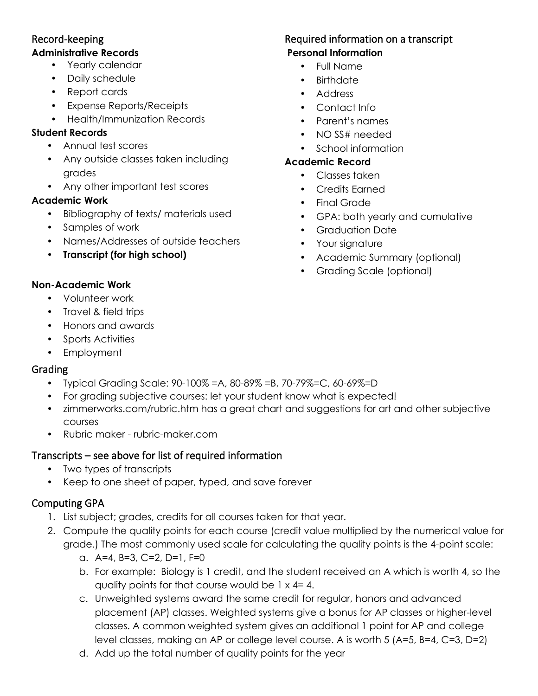#### Record-keeping **Administrative Records**

- Yearly calendar
- Daily schedule
- Report cards
- Expense Reports/Receipts
- Health/Immunization Records

# **Student Records**

- Annual test scores
- Any outside classes taken including grades
- Any other important test scores

# **Academic Work**

- Bibliography of texts/ materials used
- Samples of work
- Names/Addresses of outside teachers
- **Transcript (for high school)**

# Required information on a transcript **Personal Information**

- Full Name
- Birthdate
- Address
- Contact Info
- Parent's names
- NO SS# needed
- School information

# **Academic Record**

- Classes taken
- Credits Earned
- Final Grade
- GPA: both yearly and cumulative
- Graduation Date
- Your signature
- Academic Summary (optional)
- Grading Scale (optional)

# **Non-Academic Work**

- Volunteer work
- Travel & field trips
- Honors and awards
- Sports Activities
- Employment

# Grading

- Typical Grading Scale: 90-100% =A, 80-89% =B, 70-79%=C, 60-69%=D
- For grading subjective courses: let your student know what is expected!
- zimmerworks.com/rubric.htm has a great chart and suggestions for art and other subjective courses
- Rubric maker [rubric-maker.com](https://rubric-maker.com/)

# Transcripts – see above for list of required information

- Two types of transcripts
- Keep to one sheet of paper, typed, and save forever

# Computing GPA

- 1. List subject; grades, credits for all courses taken for that year.
- 2. Compute the quality points for each course (credit value multiplied by the numerical value for grade.) The most commonly used scale for calculating the quality points is the 4-point scale:
	- a. A=4, B=3, C=2, D=1, F=0
	- b. For example: Biology is 1 credit, and the student received an A which is worth 4, so the quality points for that course would be  $1 \times 4 = 4$ .
	- c. Unweighted systems award the same credit for regular, honors and advanced placement (AP) classes. Weighted systems give a bonus for AP classes or higher-level classes. A common weighted system gives an additional 1 point for AP and college level classes, making an AP or college level course. A is worth 5 (A=5, B=4, C=3, D=2)
	- d. Add up the total number of quality points for the year